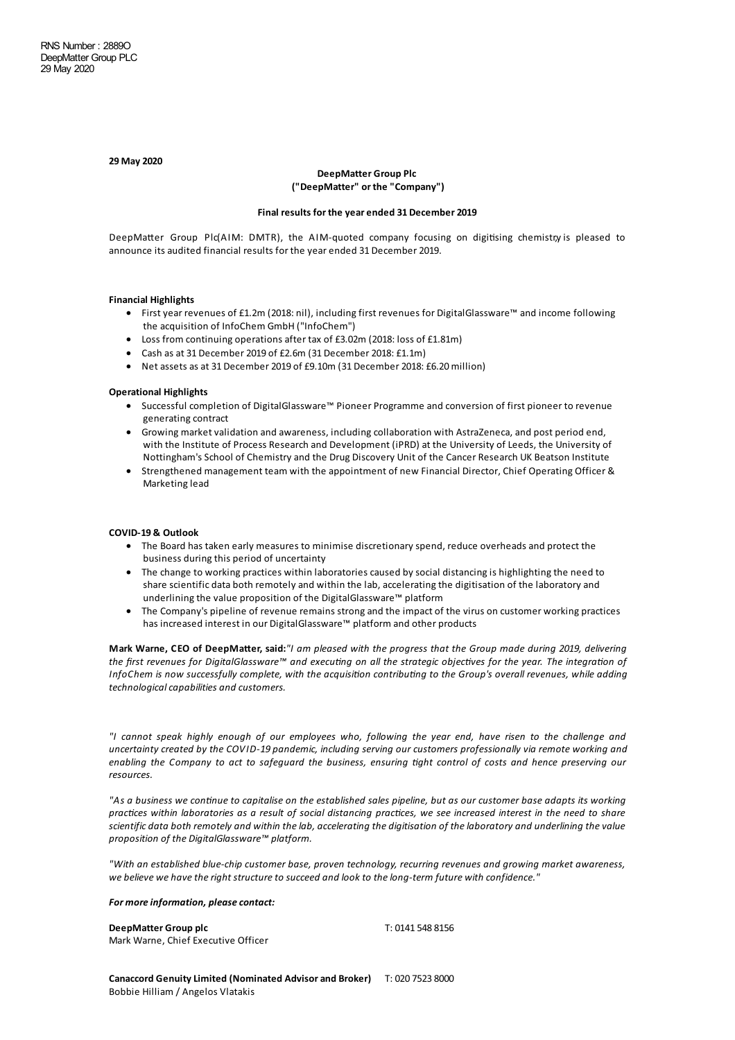#### **29 May 2020**

## **DeepMatter Group Plc ("DeepMatter" or the "Company")**

#### **Final results for the year ended 31 December 2019**

DeepMatter Group Plc(AIM: DMTR), the AIM-quoted company focusing on digitising chemistry is pleased to announce its audited financial results for the year ended 31 December 2019.

# **Financial Highlights**

- · Firstyear revenues of £1.2m (2018: nil), includingfirst revenues for DigitalGlassware™ and income following the acquisition of InfoChem GmbH ("InfoChem")
- Loss from continuing operations after tax of £3.02m (2018: loss of £1.81m)
- Cash as at 31 December 2019 of £2.6m (31 December 2018: £1.1m)
- Net assets as at 31 December 2019 of £9.10m (31 December 2018: £6.20 million)

### **Operational Highlights**

- · Successful completion of DigitalGlassware™ Pioneer Programme and conversion of first pioneer to revenue generating contract
- Growing market validation and awareness, including collaboration with AstraZeneca, and post period end, with the Institute of Process Research and Development (iPRD) at the University of Leeds, the University of Nottingham's School of Chemistry and the Drug Discovery Unit of the Cancer Research UK Beatson Institute
- · Strengthened management team with the appointment of new Financial Director, Chief Operating Officer & Marketing lead

#### **COVID-19 & Outlook**

- · The Board has taken early measures to minimise discretionary spend, reduce overheadsand protect the business during this period of uncertainty
- The change to working practices within laboratories caused by social distancing is highlighting the need to share scientific data both remotely and within the lab, accelerating the digitisation of the laboratory and underlining the value proposition of the DigitalGlassware™ platform
- · The Company's pipeline of revenue remains strongand the impact of the virus on customer working practices has increased interest in our DigitalGlassware™ platform and other products

Mark Warne, CEO of DeepMatter, said:"I am pleased with the progress that the Group made during 2019, delivering the first revenues for DigitalGlassware<sup>™</sup> and executing on all the strategic objectives for the year. The integration of InfoChem is now successfully complete, with the acquisition contributing to the Group's overall revenues, while adding *technologicalcapabilities and customers.*

"I cannot speak highly enough of our employees who, following the year end, have risen to the challenge and *uncertainty created by the COVID-19 pandemic, including serving our customers professionally via remote working and* enabling the Company to act to safeguard the business, ensuring tight control of costs and hence preserving our *resources.*

"As a business we continue to capitalise on the established sales pipeline, but as our customer base adapts its working practices within laboratories as a result of social distancing practices, we see increased interest in the need to share scientific data both remotely and within the lab, accelerating the digitisation of the laboratory and underlining the value *proposition of the DigitalGlassware™ platform.*

*"With an established blue-chip customer base, proven technology, recurring revenues and growing market awareness, we believe we havetheright structureto succeed and look to thelong-term future with confidence."*

#### *For more information, please contact:*

**DeepMatter Group plc** T: 0141 548 8156 Mark Warne, Chief Executive Officer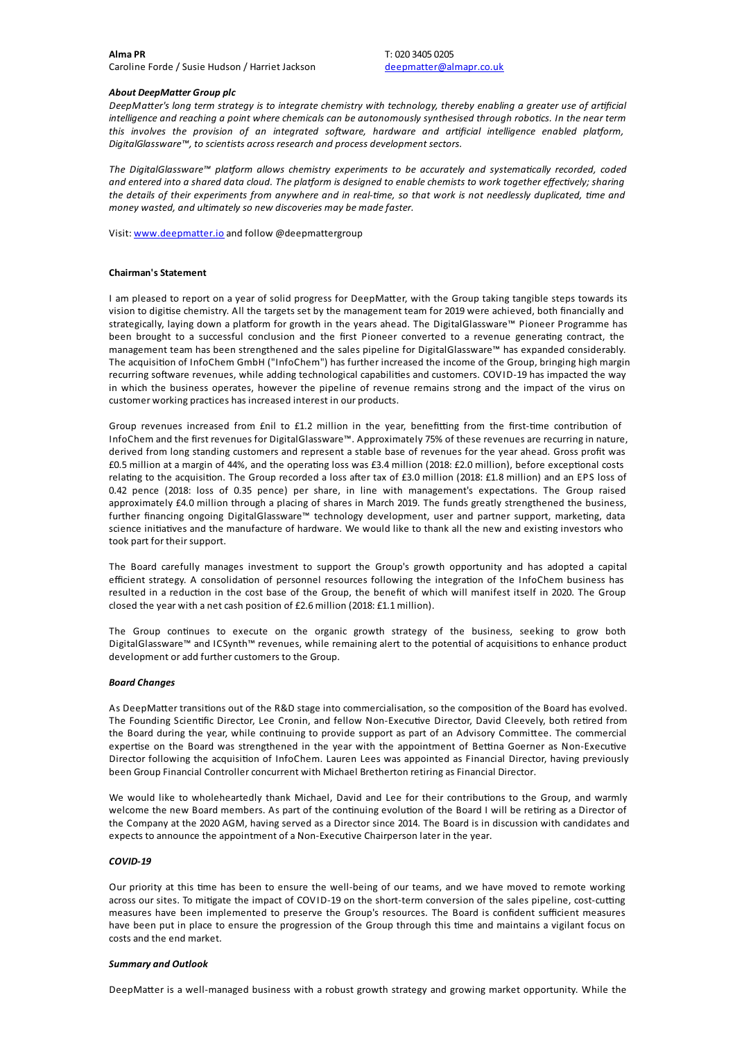# *About DeepMatter Group plc*

DeepMatter's long term strategy is to integrate chemistry with technology, thereby enabling a greater use of artificial intelligence and reaching a point where chemicals can be autonomously synthesised through robotics. In the near term *this involves the provision* of *an integrated software*, *hardware and artificial intelligence enabled platform*, *DigitalGlassware™, to scientists across research and process development sectors.*

*The DigitalGlassware™ pla3orm allows chemistry experiments to be accurately and systema!cally recorded, coded* and entered into a shared data cloud. The platform is designed to enable chemists to work together effectively; sharing the details of their experiments from anywhere and in real-time, so that work is not needlessly duplicated, time and *money wasted, and ultimately so new discoveries may be madefaster.*

Visit: [www.deepmatter.io](http://www.deepmatter.io/) and follow @deepmattergroup

## **Chairman's Statement**

I am pleased to report on a year of solid progress for DeepMatter, with the Group taking tangible steps towards its vision to digitise chemistry. All the targets set by the management team for 2019 were achieved, both financially and strategically, laying down a platform for growth in the years ahead. The DigitalGlassware™ Pioneer Programme has been brought to a successful conclusion and the first Pioneer converted to a revenue generating contract, the management team has been strengthened and the sales pipeline for DigitalGlassware™ has expanded considerably. The acquisition of InfoChem GmbH ("InfoChem") has further increased the income of the Group, bringing high margin recurring software revenues, while adding technological capabilities and customers. COVID-19 has impacted the way in which the business operates, however the pipeline of revenue remains strong and the impact of the virus on customer working practices has increased interest in our products.

Group revenues increased from £nil to £1.2 million in the year, benefitting from the first-time contribution of InfoChem and the first revenues for DigitalGlassware™. Approximately 75% of these revenuesare recurringin nature, derived from long standing customers and represent a stable base of revenues for the year ahead. Gross profit was £0.5 million at a margin of 44%, and the operating loss was £3.4 million (2018: £2.0 million), before exceptional costs relating to the acquisition. The Group recorded a loss after tax of £3.0 million (2018: £1.8 million) and an EPS loss of 0.42 pence (2018: loss of 0.35 pence) per share, in line with management's expectations. The Group raised approximately £4.0 million through a placing of shares in March 2019. The funds greatly strengthened the business, further financing ongoing DigitalGlassware™ technology development, user and partner support, marketing, data science initiatives and the manufacture of hardware. We would like to thank all the new and existing investors who took part for their support.

The Board carefully manages investment to support the Group's growth opportunity and has adopted a capital efficient strategy. A consolidation of personnel resources following the integration of the InfoChem business has resulted in a reduction in the cost base of the Group, the benefit of which will manifest itself in 2020. The Group closed the year with a net cash position of £2.6 million (2018: £1.1 million).

The Group continues to execute on the organic growth strategy of the business, seeking to grow both DigitalGlassware™ and ICSynth™ revenues, while remaining alert to the potential of acquisitions to enhance product development or add further customers to the Group.

## *Board Changes*

As DeepMatter transitions out of the R&D stage into commercialisation, so the composition of the Board has evolved. The Founding Scientific Director, Lee Cronin, and fellow Non-Executive Director, David Cleevely, both retired from the Board during the year, while continuing to provide support as part of an Advisory Committee. The commercial expertise on the Board was strengthened in the year with the appointment of Bettina Goerner as Non-Executive Director following the acquisition of InfoChem. Lauren Lees was appointed as Financial Director, having previously been Group Financial Controller concurrent with Michael Bretherton retiring as Financial Director.

We would like to wholeheartedly thank Michael, David and Lee for their contributions to the Group, and warmly welcome the new Board members. As part of the continuing evolution of the Board I will be retiring as a Director of the Company at the 2020 AGM, having served as a Director since 2014. The Board is in discussion with candidates and expects to announce the appointment of a Non-Executive Chairperson later in the year.

## *COVID-19*

Our priority at this time has been to ensure the well-being of our teams, and we have moved to remote working across our sites. To mitigate the impact of COVID-19 on the short-term conversion of the sales pipeline, cost-cutting measures have been implemented to preserve the Group's resources. The Board is confident sufficient measures have been put in place to ensure the progression of the Group through this time and maintains a vigilant focus on costs and the end market.

#### *Summary and Outlook*

DeepMatter is a well-managed business with a robust growth strategy and growing market opportunity. While the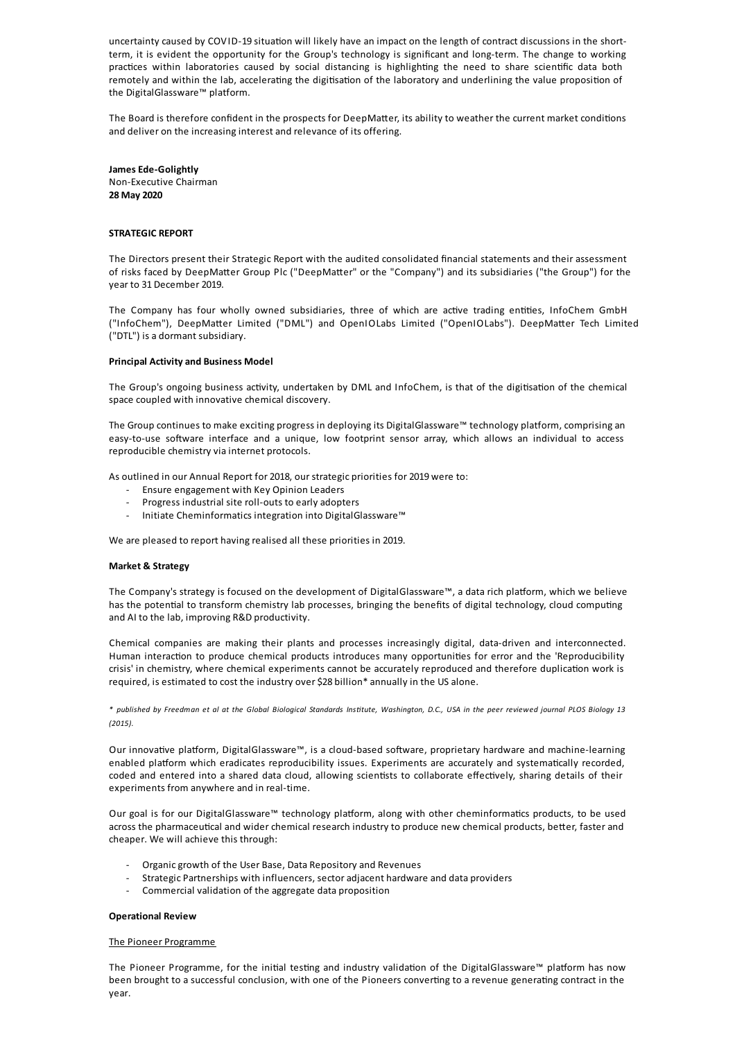uncertainty caused by COVID-19 situation will likely have an impact on the length of contract discussions in the shortterm, it is evident the opportunity for the Group's technology is significant and long-term. The change to working practices within laboratories caused by social distancing is highlighting the need to share scientific data both remotely and within the lab, accelerating the digitisation of the laboratory and underlining the value proposition of the DigitalGlassware™ platform.

The Board is therefore confident in the prospects for DeepMatter, its ability to weather the current market conditions and deliver on the increasing interest and relevance of its offering.

**James Ede-Golightly** Non-Executive Chairman **28 May 2020**

## **STRATEGIC REPORT**

The Directors present their Strategic Report with the audited consolidated financial statements and their assessment of risks faced by DeepMatter Group Plc ("DeepMatter" or the "Company") and its subsidiaries ("the Group") for the year to 31 December 2019.

The Company has four wholly owned subsidiaries, three of which are active trading entities, InfoChem GmbH ("InfoChem"), DeepMatter Limited ("DML") and OpenIOLabs Limited ("OpenIOLabs"). DeepMatter Tech Limited ("DTL") is a dormant subsidiary.

## **Principal Activity and Business Model**

The Group's ongoing business activity, undertaken by DML and InfoChem, is that of the digitisation of the chemical space coupled with innovative chemical discovery.

The Group continues to make exciting progress in deploying its DigitalGlassware™ technology platform, comprising an easy-to-use software interface and a unique, low footprint sensor array, which allows an individual to access reproducible chemistry via internet protocols.

As outlined in our Annual Report for 2018, our strategic priorities for 2019 were to:

- Ensure engagement with Key Opinion Leaders
- Progress industrial site roll-outs to earlyadopters
- Initiate Cheminformatics integration into DigitalGlassware™

We are pleased to report having realised all these priorities in 2019.

#### **Market & Strategy**

The Company's strategy is focused on the development of DigitalGlassware™, a data rich platform, which we believe has the potential to transform chemistry lab processes, bringing the benefits of digital technology, cloud computing and AI to the lab, improving R&D productivity.

Chemical companies are making their plants and processes increasingly digital, data-driven and interconnected. Human interaction to produce chemical products introduces many opportunities for error and the 'Reproducibility crisis' in chemistry, where chemical experiments cannot be accurately reproduced and therefore duplication work is required, is estimated to cost the industry over \$28 billion\* annually in the US alone.

\* published by Freedman et al at the Global Biological Standards Institute, Washington, D.C., USA in the peer reviewed journal PLOS Biology 13 *(2015).*

Our innovative platform, DigitalGlassware™, is a cloud-based software, proprietary hardware and machine-learning enabled platform which eradicates reproducibility issues. Experiments are accurately and systematically recorded, coded and entered into a shared data cloud, allowing scientists to collaborate effectively, sharing details of their experiments from anywhere and in real-time.

Our goal is for our DigitalGlassware™ technology platform, along with other cheminformatics products, to be used across the pharmaceutical and wider chemical research industry to produce new chemical products, better, faster and cheaper. We will achieve this through:

- Organic growth of the User Base, Data Repository and Revenues
- Strategic Partnerships with influencers, sectoradjacent hardware and data providers
- Commercial validation of the aggregate data proposition

#### **Operational Review**

#### The Pioneer Programme

The Pioneer Programme, for the initial testing and industry validation of the DigitalGlassware™ platform has now been brought to a successful conclusion, with one of the Pioneers converting to a revenue generating contract in the year.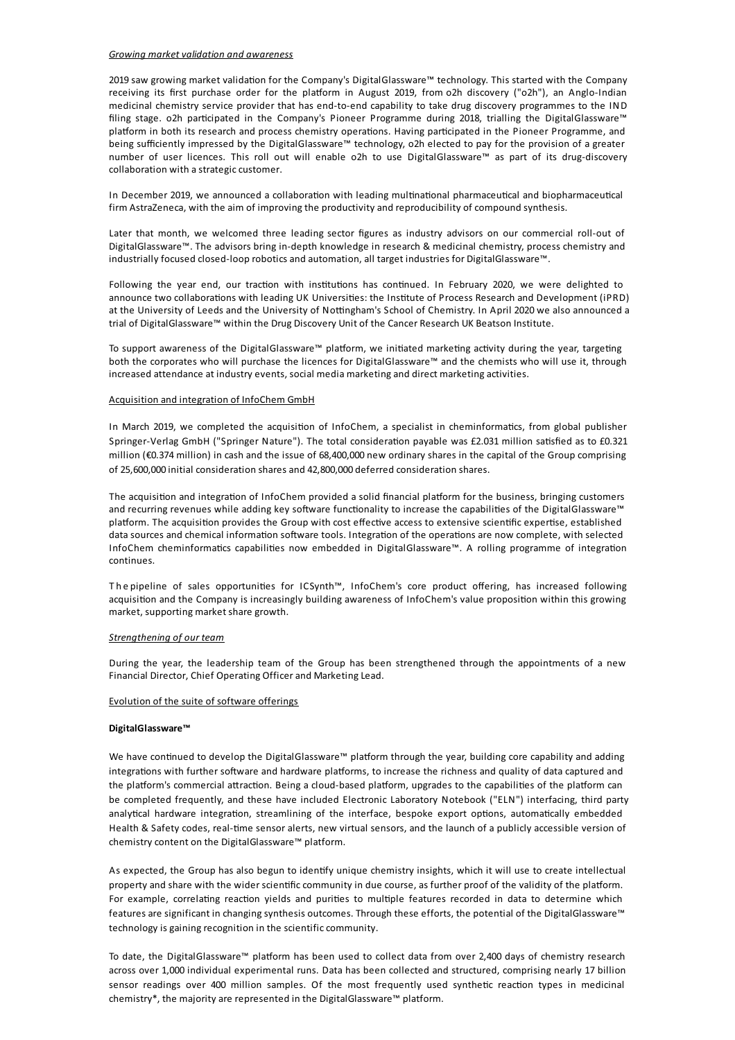#### *Growing marketvalidation and awareness*

2019 saw growing market validation for the Company's DigitalGlassware™ technology. This started with the Company receiving its first purchase order for the platform in August 2019, from o2h discovery ("o2h"), an Anglo-Indian medicinal chemistry service provider that has end-to-end capability to take drug discovery programmes to the IND filing stage. o2h participated in the Company's Pioneer Programme during 2018, trialling the DigitalGlassware™ platform in both its research and process chemistry operations. Having participated in the Pioneer Programme, and being sufficiently impressed by the DigitalGlassware™ technology, o2h elected to pay for the provision of a greater number of user licences. This roll out will enable o2h to use DigitalGlassware™ as part of its drug-discovery collaboration with a strategic customer.

In December 2019, we announced a collaboration with leading multinational pharmaceutical and biopharmaceutical firm AstraZeneca, with the aim of improving the productivity and reproducibility of compound synthesis.

Later that month, we welcomed three leading sector figures as industry advisors on our commercial roll-out of DigitalGlassware™. The advisors bring in-depth knowledge in research & medicinal chemistry, process chemistry and industrially focused closed-loop robotics and automation, all target industries for DigitalGlassware™.

Following the year end, our traction with institutions has continued. In February 2020, we were delighted to announce two collaborations with leading UK Universities: the Institute of Process Research and Development (iPRD) at the University of Leeds and the University of Nottingham's School of Chemistry. In April 2020 we also announced a trial of DigitalGlassware™ within the Drug Discovery Unit of the Cancer Research UK Beatson Institute.

To support awareness of the DigitalGlassware™ platform, we initiated marketing activity during the year, targeting both the corporates who will purchase the licences for DigitalGlassware™ and the chemists who will use it, through increased attendance at industry events, social media marketingand direct marketingactivities.

## Acquisition and integration of InfoChem GmbH

In March 2019, we completed the acquisition of InfoChem, a specialist in cheminformatics, from global publisher Springer-Verlag GmbH ("Springer Nature"). The total consideration payable was £2.031 million satisfied as to £0.321 million (€0.374 million) in cash and the issue of 68,400,000 new ordinary shares in the capital of the Group comprising of 25,600,000 initial consideration shares and 42,800,000 deferred consideration shares.

The acquisition and integration of InfoChem provided a solid financial platform for the business, bringing customers and recurring revenues while adding key software functionality to increase the capabilities of the DigitalGlassware™ platform. The acquisition provides the Group with cost effective access to extensive scientific expertise, established data sources and chemical information software tools. Integration of the operations are now complete, with selected InfoChem cheminformatics capabilities now embedded in DigitalGlassware™. A rolling programme of integration continues.

The pipeline of sales opportunities for ICSynth™, InfoChem's core product offering, has increased following acquisition and the Company is increasingly building awareness of InfoChem's value proposition within this growing market, supporting market share growth.

#### *Strengthening of our team*

During the year, the leadership team of the Group has been strengthened through the appointments of a new Financial Director, Chief Operating Officer and Marketing Lead.

#### Evolution of the suite of software offerings

#### **DigitalGlassware™**

We have continued to develop the DigitalGlassware™ platform through the year, building core capability and adding integrations with further software and hardware platforms, to increase the richness and quality of data captured and the platform's commercial attraction. Being a cloud-based platform, upgrades to the capabilities of the platform can be completed frequently, and these have included Electronic Laboratory Notebook ("ELN") interfacing, third party analytical hardware integration, streamlining of the interface, bespoke export options, automatically embedded Health & Safety codes, real-time sensor alerts, new virtual sensors, and the launch of a publicly accessible version of chemistry content on the DigitalGlassware™ platform.

As expected, the Group has also begun to identify unique chemistry insights, which it will use to create intellectual property and share with the wider scientific community in due course, as further proof of the validity of the platform. For example, correlating reaction yields and purities to multiple features recorded in data to determine which features are significant in changing synthesis outcomes. Through these efforts, the potential of the DigitalGlassware™ technology is gaining recognition in the scientific community.

To date, the DigitalGlassware™ platform has been used to collect data from over 2,400 days of chemistry research across over 1,000 individual experimental runs. Data has been collected and structured, comprising nearly 17 billion sensor readings over 400 million samples. Of the most frequently used synthetic reaction types in medicinal chemistry\*, the majorityare represented in the DigitalGlassware™ platform.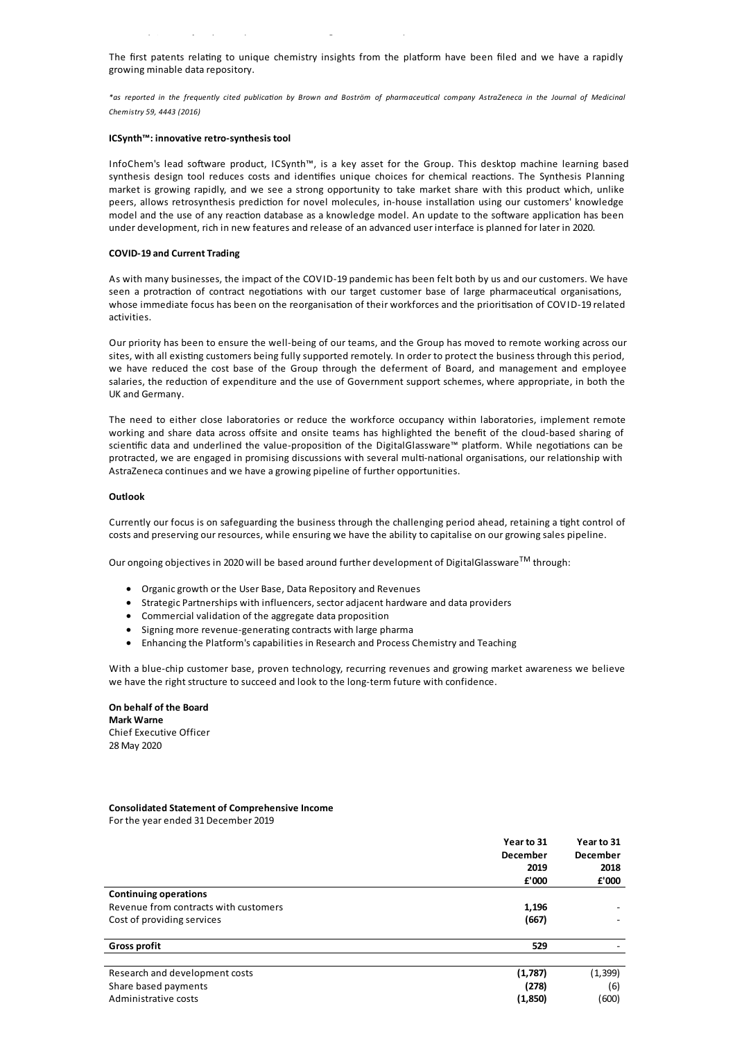The first patents relating to unique chemistry insights from the platform have been filed and we have a rapidly growing minable data repository.

chemistry\*, the majorityare represented in the DigitalGlassware™ platform.

\*as reported in the frequently cited publication by Brown and Boström of pharmaceutical company AstraZeneca in the Journal of Medicinal *Chemistry 59, 4443 (2016)*

#### **ICSynth™: innovative retro-synthesis tool**

InfoChem's lead software product, ICSynth™, is a key asset for the Group. This desktop machine learning based synthesis design tool reduces costs and identifies unique choices for chemical reactions. The Synthesis Planning market is growing rapidly, and we see a strong opportunity to take market share with this product which, unlike peers, allows retrosynthesis prediction for novel molecules, in-house installation using our customers' knowledge model and the use of any reaction database as a knowledge model. An update to the software application has been under development, rich in new features and release of an advanced user interface is planned for later in 2020.

## **COVID-19 and Current Trading**

As with many businesses, the impact of the COVID-19 pandemic has been felt both by us and our customers. We have seen a protraction of contract negotiations with our target customer base of large pharmaceutical organisations, whose immediate focus has been on the reorganisation of their workforces and the prioritisation of COVID-19 related activities.

Our priority has been to ensure the well-being of our teams, and the Group has moved to remote working across our sites, with all existing customers being fully supported remotely. In order to protect the business through this period, we have reduced the cost base of the Group through the deferment of Board, and management and employee salaries, the reduction of expenditure and the use of Government support schemes, where appropriate, in both the UK and Germany.

The need to either close laboratories or reduce the workforce occupancy within laboratories, implement remote working and share data across offsite and onsite teams has highlighted the benefit of the cloud-based sharing of scientific data and underlined the value-proposition of the DigitalGlassware™ platform. While negotiations can be protracted, we are engaged in promising discussions with several multi-national organisations, our relationship with AstraZeneca continues and we have a growing pipeline of further opportunities.

#### **Outlook**

Currently our focus is on safeguarding the business through the challenging period ahead, retaining a tight control of costsand preserving our resources, while ensuring we have the ability to capitalise on ourgrowingsales pipeline.

Our ongoing objectives in 2020 will be based around further development of DigitalGlassware $^{\text{TM}}$  through:

- Organic growth or the User Base, Data Repository and Revenues
- · Strategic Partnerships with influencers, sectoradjacent hardware and data providers
- Commercial validation of the aggregate data proposition
- Signing more revenue-generating contracts with large pharma
- Enhancing the Platform's capabilities in Research and Process Chemistry and Teaching

With a blue-chip customer base, proven technology, recurring revenues and growing market awareness we believe we have the right structure to succeed and look to the long-term future with confidence.

# **On behalf of the Board Mark Warne** Chief Executive Officer 28May 2020

## **Consolidated Statement of Comprehensive Income** For the year ended 31 December 2019

**Year to 31 December 2019 Year to 31 December 2018 £'000 £'000 Continuing operations** Revenue from contracts with customers **1,196** - **1,196** - **1,196** - **1,196** Cost of providingservices **(667)** - **Gross profit 529** - Research and development costs **(1,787)** (1,399) Share based payments **(278)** (6) Administrative costs **(1,850)** (600)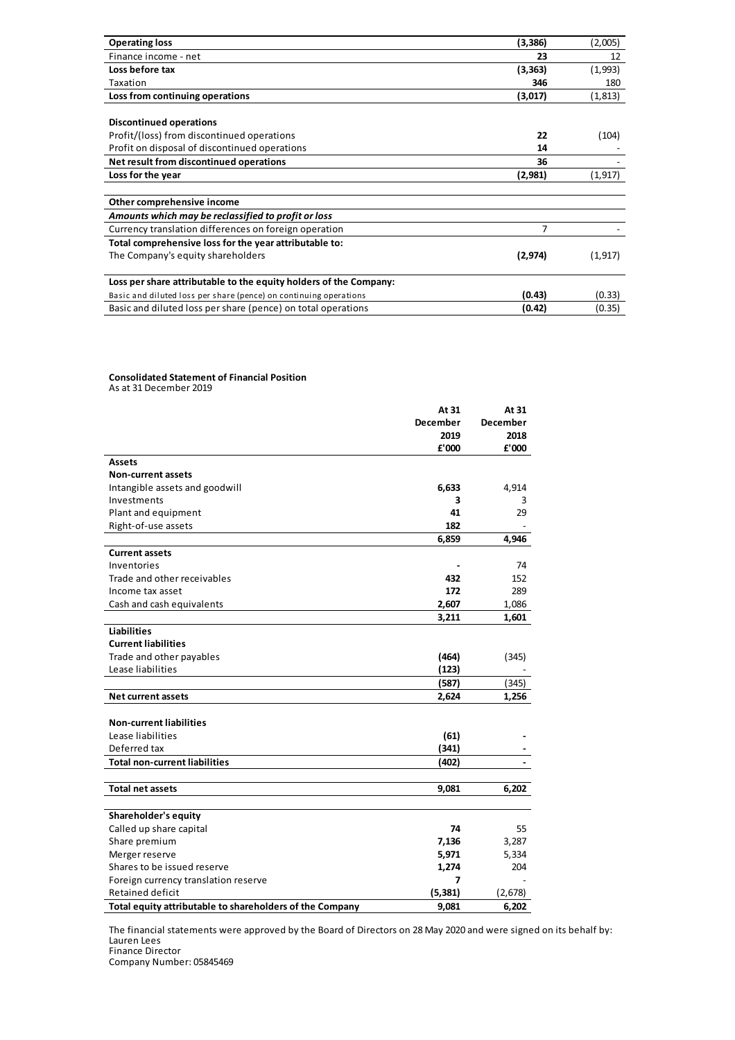| <b>Operating loss</b>                                             | (3,386)  | (2,005)  |
|-------------------------------------------------------------------|----------|----------|
| Finance income - net                                              | 23       | 12       |
| Loss before tax                                                   | (3, 363) | (1,993)  |
| Taxation                                                          | 346      | 180      |
| Loss from continuing operations                                   | (3,017)  | (1, 813) |
|                                                                   |          |          |
| <b>Discontinued operations</b>                                    |          |          |
| Profit/(loss) from discontinued operations                        | 22       | (104)    |
| Profit on disposal of discontinued operations                     | 14       |          |
| Net result from discontinued operations                           | 36       |          |
| Loss for the year                                                 | (2,981)  | (1, 917) |
|                                                                   |          |          |
| Other comprehensive income                                        |          |          |
| Amounts which may be reclassified to profit or loss               |          |          |
| Currency translation differences on foreign operation             | 7        |          |
| Total comprehensive loss for the year attributable to:            |          |          |
| The Company's equity shareholders                                 | (2, 974) | (1, 917) |
|                                                                   |          |          |
| Loss per share attributable to the equity holders of the Company: |          |          |
| Basic and diluted loss per share (pence) on continuing operations | (0.43)   | (0.33)   |
| Basic and diluted loss per share (pence) on total operations      | (0.42)   | (0.35)   |

# **Consolidated Statement of Financial Position**

Asat 31 December 2019

|                                                          | At 31           | At 31           |
|----------------------------------------------------------|-----------------|-----------------|
|                                                          | <b>December</b> | <b>December</b> |
|                                                          | 2019            | 2018            |
|                                                          | £'000           | £'000           |
| <b>Assets</b>                                            |                 |                 |
| <b>Non-current assets</b>                                |                 |                 |
| Intangible assets and goodwill                           | 6,633           | 4,914           |
| Investments                                              | 3               | 3               |
| Plant and equipment                                      | 41              | 29              |
| Right-of-use assets                                      | 182             |                 |
|                                                          | 6,859           | 4,946           |
| <b>Current assets</b>                                    |                 |                 |
| Inventories                                              |                 | 74              |
| Trade and other receivables                              | 432             | 152             |
| Income tax asset                                         | 172             | 289             |
| Cash and cash equivalents                                | 2,607           | 1,086           |
|                                                          | 3,211           | 1,601           |
| <b>Liabilities</b>                                       |                 |                 |
| <b>Current liabilities</b>                               |                 |                 |
| Trade and other payables                                 | (464)           | (345)           |
| Lease liabilities                                        | (123)           |                 |
|                                                          | (587)           | (345)           |
| <b>Net current assets</b>                                | 2,624           | 1,256           |
|                                                          |                 |                 |
| <b>Non-current liabilities</b>                           |                 |                 |
| Lease liabilities                                        | (61)            |                 |
| Deferred tax                                             | (341)           |                 |
| <b>Total non-current liabilities</b>                     | (402)           |                 |
|                                                          |                 |                 |
| <b>Total net assets</b>                                  | 9,081           | 6,202           |
|                                                          |                 |                 |
| Shareholder's equity                                     |                 |                 |
| Called up share capital                                  | 74              | 55              |
| Share premium                                            | 7,136           | 3,287           |
| Merger reserve                                           | 5,971           | 5,334           |
| Shares to be issued reserve                              | 1,274           | 204             |
| Foreign currency translation reserve                     | 7               |                 |
| <b>Retained deficit</b>                                  | (5, 381)        | (2,678)         |
| Total equity attributable to shareholders of the Company | 9,081           | 6,202           |

The financial statements were approved by the Board of Directors on 28May 2020 and were signed on its behalf by: Lauren Lees Finance Director

Company Number: 05845469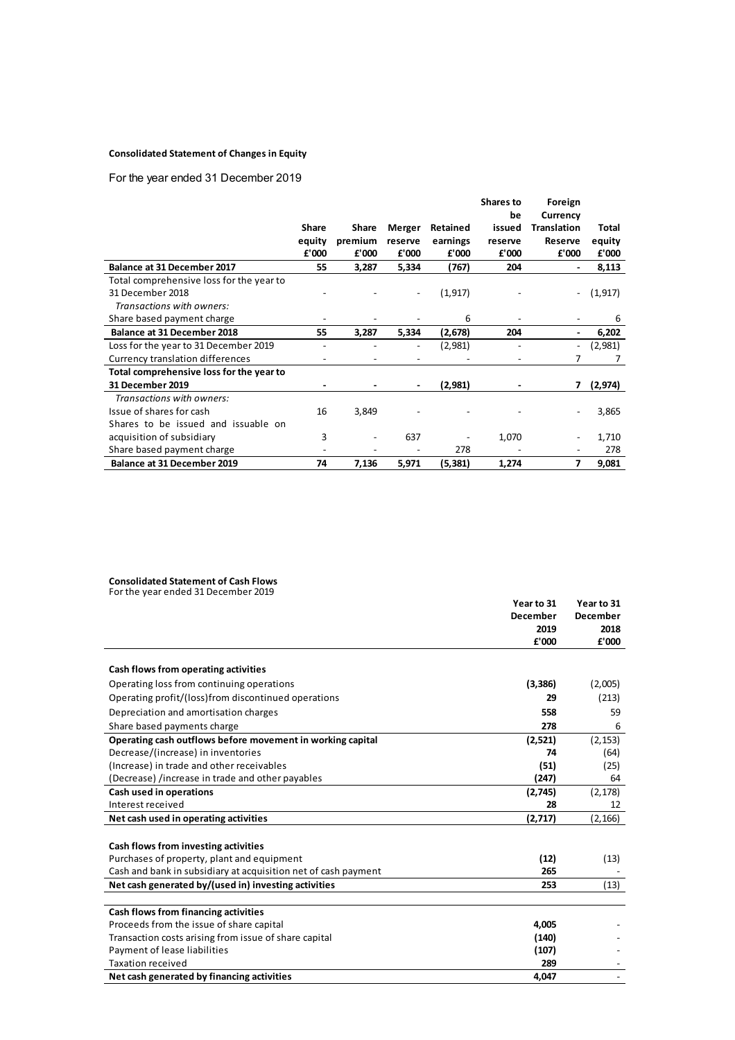# **Consolidated Statement of Changes in Equity**

For the year ended 31 December 2019

|                                          |              |              |         |          | <b>Shares to</b> | Foreign     |          |
|------------------------------------------|--------------|--------------|---------|----------|------------------|-------------|----------|
|                                          |              |              |         |          | be               | Currency    |          |
|                                          | <b>Share</b> | <b>Share</b> | Merger  | Retained | issued           | Translation | Total    |
|                                          | equity       | premium      | reserve | earnings | reserve          | Reserve     | equity   |
|                                          | £'000        | £'000        | £'000   | £'000    | £'000            | £'000       | £'000    |
| <b>Balance at 31 December 2017</b>       | 55           | 3,287        | 5,334   | (767)    | 204              | ۰           | 8,113    |
| Total comprehensive loss for the year to |              |              |         |          |                  |             |          |
| 31 December 2018                         |              |              |         | (1, 917) |                  |             | (1, 917) |
| Transactions with owners:                |              |              |         |          |                  |             |          |
| Share based payment charge               |              |              |         | 6        |                  |             | 6        |
| <b>Balance at 31 December 2018</b>       | 55           | 3,287        | 5,334   | (2,678)  | 204              | ٠           | 6,202    |
| Loss for the year to 31 December 2019    |              |              |         | (2,981)  |                  |             | (2,981)  |
| Currency translation differences         |              |              |         |          |                  | 7           | 7        |
| Total comprehensive loss for the year to |              |              |         |          |                  |             |          |
| <b>31 December 2019</b>                  |              |              |         | (2,981)  |                  | 7           | (2, 974) |
| Transactions with owners:                |              |              |         |          |                  |             |          |
| Issue of shares for cash                 | 16           | 3,849        |         |          |                  |             | 3,865    |
| Shares to be issued and issuable on      |              |              |         |          |                  |             |          |
| acquisition of subsidiary                | 3            |              | 637     |          | 1,070            |             | 1,710    |
| Share based payment charge               |              |              |         | 278      |                  |             | 278      |
| <b>Balance at 31 December 2019</b>       | 74           | 7,136        | 5,971   | (5,381)  | 1,274            | 7           | 9,081    |

# **Consolidated Statement of Cash Flows**

For the year ended 31 December 2019

|                                                                | Year to 31      | Year to 31      |
|----------------------------------------------------------------|-----------------|-----------------|
|                                                                | <b>December</b> | <b>December</b> |
|                                                                | 2019            | 2018            |
|                                                                | £'000           | £'000           |
|                                                                |                 |                 |
| Cash flows from operating activities                           |                 |                 |
| Operating loss from continuing operations                      | (3, 386)        | (2,005)         |
| Operating profit/(loss)from discontinued operations            | 29              | (213)           |
| Depreciation and amortisation charges                          | 558             | 59              |
| Share based payments charge                                    | 278             | 6               |
| Operating cash outflows before movement in working capital     | (2,521)         | (2, 153)        |
| Decrease/(increase) in inventories                             | 74              | (64)            |
| (Increase) in trade and other receivables                      | (51)            | (25)            |
| (Decrease) /increase in trade and other payables               | (247)           | 64              |
| Cash used in operations                                        | (2,745)         | (2, 178)        |
| Interest received                                              | 28              | 12              |
| Net cash used in operating activities                          | (2,717)         | (2, 166)        |
|                                                                |                 |                 |
| Cash flows from investing activities                           |                 |                 |
| Purchases of property, plant and equipment                     | (12)            | (13)            |
| Cash and bank in subsidiary at acquisition net of cash payment | 265             |                 |
| Net cash generated by/(used in) investing activities           | 253             | (13)            |
|                                                                |                 |                 |
| Cash flows from financing activities                           |                 |                 |
| Proceeds from the issue of share capital                       | 4.005           |                 |
| Transaction costs arising from issue of share capital          | (140)           |                 |
| Payment of lease liabilities                                   | (107)           |                 |
| <b>Taxation received</b>                                       | 289             |                 |
| Net cash generated by financing activities                     | 4,047           |                 |